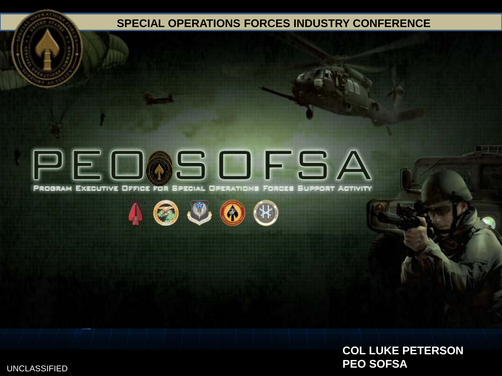#### **[SPECIAL OPERATIONS FORCES INDUSTRY CONFERENCE](#page-9-0)**

# PEOOSOFSA

PROGRAM EXECUTIVE OFFICE FOR SPECIAL OPERATIONS FORCES SUPPORT ACTIVITY







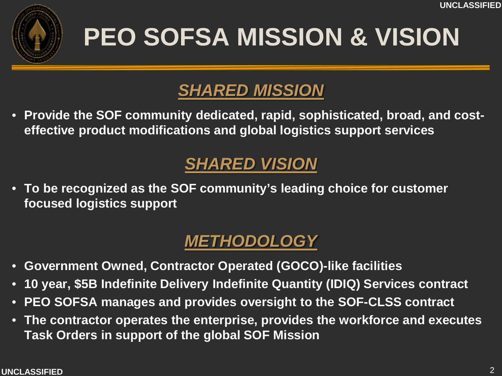

## **PEO SOFSA MISSION & VISION**

### *SHARED MISSION*

• **Provide the SOF community dedicated, rapid, sophisticated, broad, and costeffective product modifications and global logistics support services**

### *SHARED VISION*

• **To be recognized as the SOF community's leading choice for customer focused logistics support**

### *METHODOLOGY*

- **Government Owned, Contractor Operated (GOCO)-like facilities**
- **10 year, \$5B Indefinite Delivery Indefinite Quantity (IDIQ) Services contract**
- **PEO SOFSA manages and provides oversight to the SOF-CLSS contract**
- **The contractor operates the enterprise, provides the workforce and executes Task Orders in support of the global SOF Mission**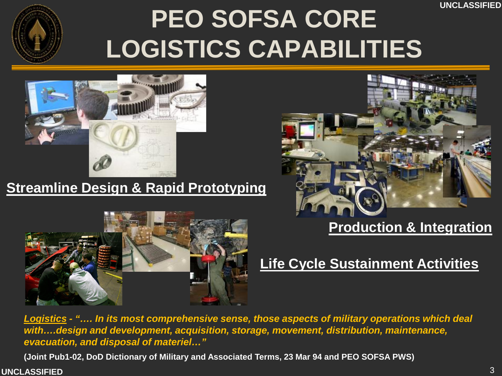**UNCLASSIFIED**



## **PEO SOFSA CORE LOGISTICS CAPABILITIES**



#### **Streamline Design & Rapid Prototyping**



#### **Production & Integration**



#### **Life Cycle Sustainment Activities**

*Logistics - "…. In its most comprehensive sense, those aspects of military operations which deal with….design and development, acquisition, storage, movement, distribution, maintenance, evacuation, and disposal of materiel…"* 

**(Joint Pub1-02, DoD Dictionary of Military and Associated Terms, 23 Mar 94 and PEO SOFSA PWS)**

#### **UNCLASSIFIED**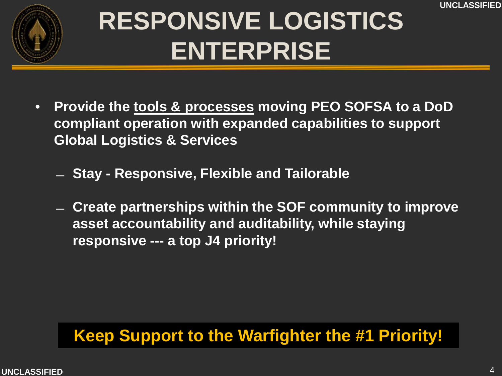**UNCLASSIFIED**



## **RESPONSIVE LOGISTICS ENTERPRISE**

- **Provide the tools & processes moving PEO SOFSA to a DoD compliant operation with expanded capabilities to support Global Logistics & Services**
	- ̶ **Stay - Responsive, Flexible and Tailorable**
	- ̶ **Create partnerships within the SOF community to improve asset accountability and auditability, while staying responsive --- a top J4 priority!**

### **! Keep Support to the Warfighter the #1 Priority!**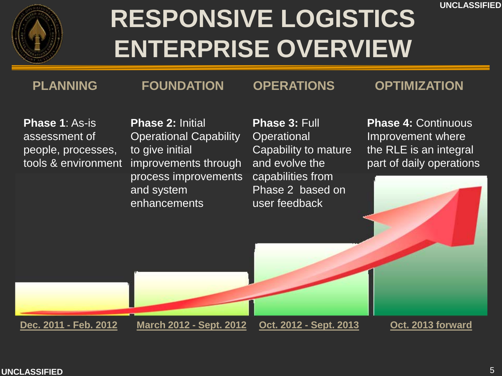**UNCLASSIFIED**



## **RESPONSIVE LOGISTICS ENTERPRISE OVERVIEW**

**PLANNING FOUNDATION OPERATIONS OPTIMIZATION**

**Phase 1**: As-is assessment of people, processes, tools & environment

**Phase 2:** Initial Operational Capability to give initial improvements through process improvements

**Phase 3:** Full **Operational** Capability to mature and evolve the capabilities from

**Phase 4: Continuous** Improvement where the RLE is an integral part of daily operations

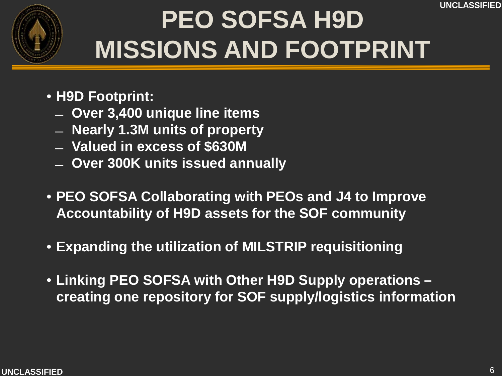

## **PEO SOFSA H9D MISSIONS AND FOOTPRINT**

- **H9D Footprint:** 
	- ̶ **Over 3,400 unique line items**
	- ̶ **Nearly 1.3M units of property**
	- ̶ **Valued in excess of \$630M**
	- ̶ **Over 300K units issued annually**
- **PEO SOFSA Collaborating with PEOs and J4 to Improve Accountability of H9D assets for the SOF community**
- **Expanding the utilization of MILSTRIP requisitioning**
- **Linking PEO SOFSA with Other H9D Supply operations – creating one repository for SOF supply/logistics information**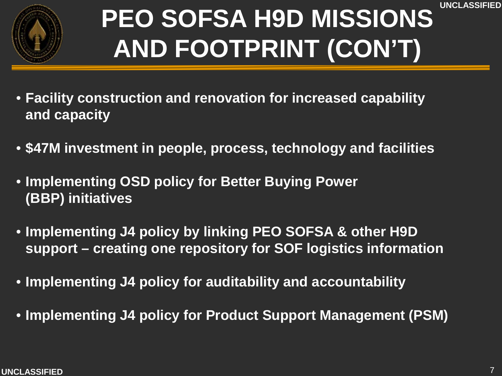



## **PEO SOFSA H9D MISSIONS AND FOOTPRINT (CON'T)**

- **Facility construction and renovation for increased capability and capacity**
- **\$47M investment in people, process, technology and facilities**
- **Implementing OSD policy for Better Buying Power (BBP) initiatives**
- **Implementing J4 policy by linking PEO SOFSA & other H9D support – creating one repository for SOF logistics information**
- **Implementing J4 policy for auditability and accountability**
- **Implementing J4 policy for Product Support Management (PSM)**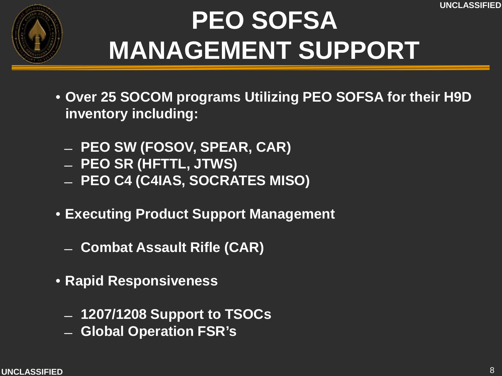

## **PEO SOFSA MANAGEMENT SUPPORT**

- **Over 25 SOCOM programs Utilizing PEO SOFSA for their H9D inventory including:**
	- ̶ **PEO SW (FOSOV, SPEAR, CAR)**
	- ̶ **PEO SR (HFTTL, JTWS)**
	- ̶ **PEO C4 (C4IAS, SOCRATES MISO)**
- **Executing Product Support Management**
	- ̶ **Combat Assault Rifle (CAR)**
- **Rapid Responsiveness**
	- ̶ **1207/1208 Support to TSOCs**
	- ̶ **Global Operation FSR's**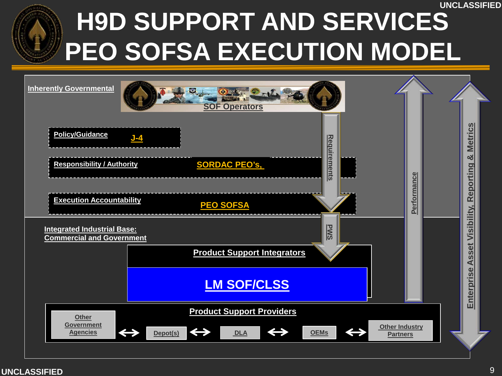## **UNCLASSIFIED H9D SUPPORT AND SERVICES PEO SOFSA EXECUTION MODEL**

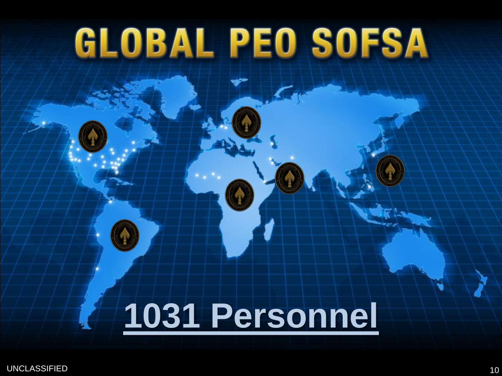# <span id="page-9-0"></span>**GLOBAL PEO SOFSA**

# **[1031 Personnel](#page-9-0)**